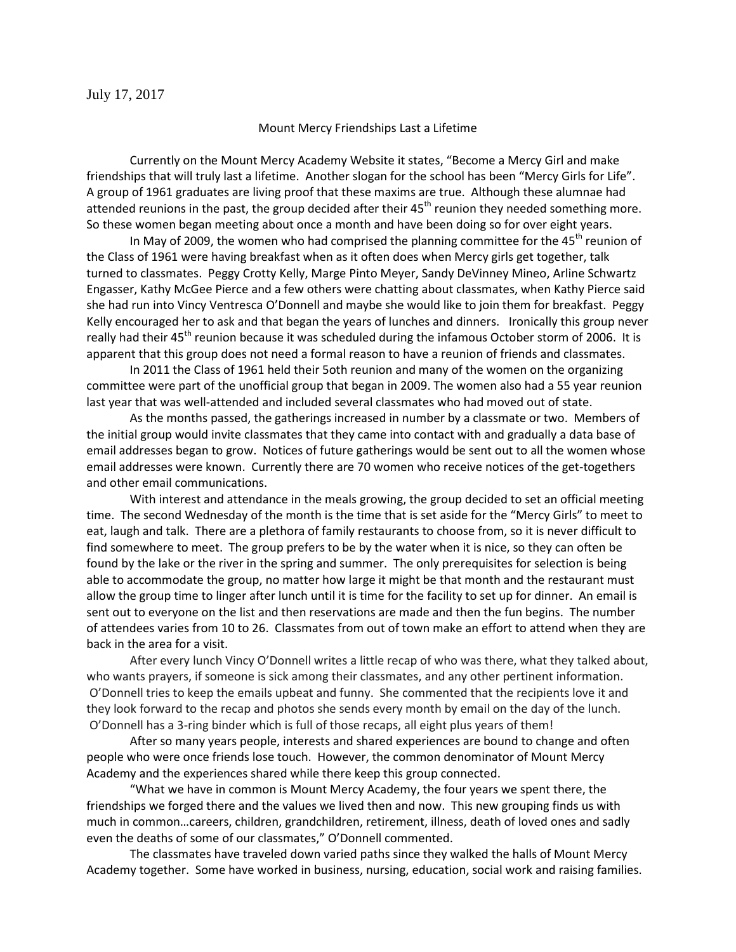July 17, 2017

## Mount Mercy Friendships Last a Lifetime

Currently on the Mount Mercy Academy Website it states, "Become a Mercy Girl and make friendships that will truly last a lifetime. Another slogan for the school has been "Mercy Girls for Life". A group of 1961 graduates are living proof that these maxims are true. Although these alumnae had attended reunions in the past, the group decided after their  $45<sup>th</sup>$  reunion they needed something more. So these women began meeting about once a month and have been doing so for over eight years.

In May of 2009, the women who had comprised the planning committee for the 45<sup>th</sup> reunion of the Class of 1961 were having breakfast when as it often does when Mercy girls get together, talk turned to classmates. Peggy Crotty Kelly, Marge Pinto Meyer, Sandy DeVinney Mineo, Arline Schwartz Engasser, Kathy McGee Pierce and a few others were chatting about classmates, when Kathy Pierce said she had run into Vincy Ventresca O'Donnell and maybe she would like to join them for breakfast. Peggy Kelly encouraged her to ask and that began the years of lunches and dinners. Ironically this group never really had their 45<sup>th</sup> reunion because it was scheduled during the infamous October storm of 2006. It is apparent that this group does not need a formal reason to have a reunion of friends and classmates.

In 2011 the Class of 1961 held their 5oth reunion and many of the women on the organizing committee were part of the unofficial group that began in 2009. The women also had a 55 year reunion last year that was well-attended and included several classmates who had moved out of state.

As the months passed, the gatherings increased in number by a classmate or two. Members of the initial group would invite classmates that they came into contact with and gradually a data base of email addresses began to grow. Notices of future gatherings would be sent out to all the women whose email addresses were known. Currently there are 70 women who receive notices of the get-togethers and other email communications.

With interest and attendance in the meals growing, the group decided to set an official meeting time. The second Wednesday of the month is the time that is set aside for the "Mercy Girls" to meet to eat, laugh and talk. There are a plethora of family restaurants to choose from, so it is never difficult to find somewhere to meet. The group prefers to be by the water when it is nice, so they can often be found by the lake or the river in the spring and summer. The only prerequisites for selection is being able to accommodate the group, no matter how large it might be that month and the restaurant must allow the group time to linger after lunch until it is time for the facility to set up for dinner. An email is sent out to everyone on the list and then reservations are made and then the fun begins. The number of attendees varies from 10 to 26. Classmates from out of town make an effort to attend when they are back in the area for a visit.

After every lunch Vincy O'Donnell writes a little recap of who was there, what they talked about, who wants prayers, if someone is sick among their classmates, and any other pertinent information. O'Donnell tries to keep the emails upbeat and funny. She commented that the recipients love it and they look forward to the recap and photos she sends every month by email on the day of the lunch. O'Donnell has a 3-ring binder which is full of those recaps, all eight plus years of them!

After so many years people, interests and shared experiences are bound to change and often people who were once friends lose touch. However, the common denominator of Mount Mercy Academy and the experiences shared while there keep this group connected.

"What we have in common is Mount Mercy Academy, the four years we spent there, the friendships we forged there and the values we lived then and now. This new grouping finds us with much in common…careers, children, grandchildren, retirement, illness, death of loved ones and sadly even the deaths of some of our classmates," O'Donnell commented.

The classmates have traveled down varied paths since they walked the halls of Mount Mercy Academy together. Some have worked in business, nursing, education, social work and raising families.